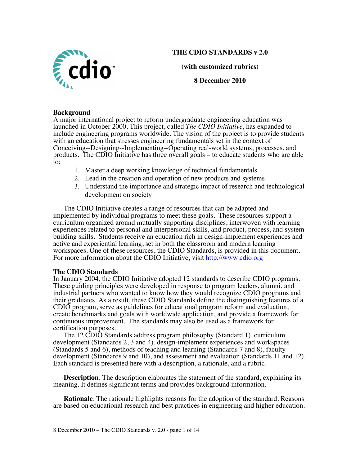## **THE CDIO STANDARDS v 2.0**



**(with customized rubrics)**

**8 December 2010**

## **Background**

A major international project to reform undergraduate engineering education was launched in October 2000. This project, called *The CDIO Initiative*, has expanded to include engineering programs worldwide. The vision of the project is to provide students with an education that stresses engineering fundamentals set in the context of Conceiving--Designing--Implementing--Operating real-world systems, processes, and products. The CDIO Initiative has three overall goals – to educate students who are able to:

- 1. Master a deep working knowledge of technical fundamentals
- 2. Lead in the creation and operation of new products and systems
- 3. Understand the importance and strategic impact of research and technological development on society

The CDIO Initiative creates a range of resources that can be adapted and implemented by individual programs to meet these goals. These resources support a curriculum organized around mutually supporting disciplines, interwoven with learning experiences related to personal and interpersonal skills, and product, process, and system building skills. Students receive an education rich in design-implement experiences and active and experiential learning, set in both the classroom and modern learning workspaces. One of these resources, the CDIO Standards, is provided in this document. For more information about the CDIO Initiative, visit http://www.cdio.org

## **The CDIO Standards**

In January 2004, the CDIO Initiative adopted 12 standards to describe CDIO programs. These guiding principles were developed in response to program leaders, alumni, and industrial partners who wanted to know how they would recognize CDIO programs and their graduates. As a result, these CDIO Standards define the distinguishing features of a CDIO program, serve as guidelines for educational program reform and evaluation, create benchmarks and goals with worldwide application, and provide a framework for continuous improvement. The standards may also be used as a framework for certification purposes.

The 12 CDIO Standards address program philosophy (Standard 1), curriculum development (Standards 2, 3 and 4), design-implement experiences and workspaces (Standards 5 and 6), methods of teaching and learning (Standards 7 and 8), faculty development (Standards 9 and 10), and assessment and evaluation (Standards 11 and 12). Each standard is presented here with a description, a rationale, and a rubric.

**Description**. The description elaborates the statement of the standard, explaining its meaning. It defines significant terms and provides background information.

**Rationale**. The rationale highlights reasons for the adoption of the standard. Reasons are based on educational research and best practices in engineering and higher education.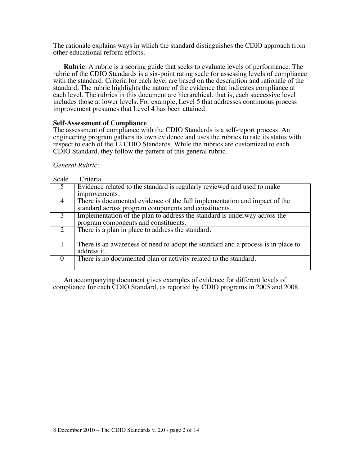The rationale explains ways in which the standard distinguishes the CDIO approach from other educational reform efforts.

**Rubric**. A rubric is a scoring guide that seeks to evaluate levels of performance. The rubric of the CDIO Standards is a six-point rating scale for assessing levels of compliance with the standard. Criteria for each level are based on the description and rationale of the standard. The rubric highlights the nature of the evidence that indicates compliance at each level. The rubrics in this document are hierarchical, that is, each successive level includes those at lower levels. For example, Level 5 that addresses continuous process improvement presumes that Level 4 has been attained.

## **Self-Assessment of Compliance**

The assessment of compliance with the CDIO Standards is a self-report process. An engineering program gathers its own evidence and uses the rubrics to rate its status with respect to each of the 12 CDIO Standards. While the rubrics are customized to each CDIO Standard, they follow the pattern of this general rubric.

## *General Rubric:*

| Scale          | Criteria                                                                         |
|----------------|----------------------------------------------------------------------------------|
|                | Evidence related to the standard is regularly reviewed and used to make          |
|                | improvements.                                                                    |
|                | There is documented evidence of the full implementation and impact of the        |
|                | standard across program components and constituents.                             |
| $\overline{3}$ | Implementation of the plan to address the standard is underway across the        |
|                | program components and constituents.                                             |
|                | There is a plan in place to address the standard.                                |
|                |                                                                                  |
|                | There is an awareness of need to adopt the standard and a process is in place to |
|                | address it.                                                                      |
|                | There is no documented plan or activity related to the standard.                 |
|                |                                                                                  |

An accompanying document gives examples of evidence for different levels of compliance for each CDIO Standard, as reported by CDIO programs in 2005 and 2008.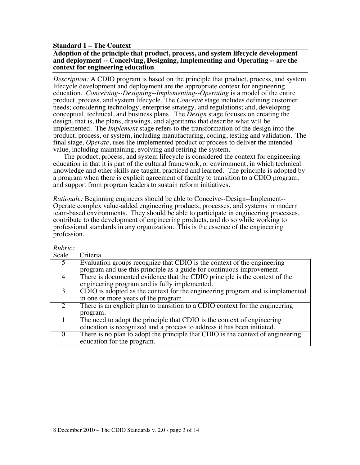**Standard 1 – The Context**

## **Adoption of the principle that product, process, and system lifecycle development and deployment -- Conceiving, Designing, Implementing and Operating -- are the context for engineering education**

*Description:* A CDIO program is based on the principle that product, process, and system lifecycle development and deployment are the appropriate context for engineering education. *Conceiving--Designing--Implementing--Operating* is a model of the entire product, process, and system lifecycle. The *Conceive* stage includes defining customer needs; considering technology, enterprise strategy, and regulations; and, developing conceptual, technical, and business plans. The *Design* stage focuses on creating the design, that is, the plans, drawings, and algorithms that describe what will be implemented. The *Implement* stage refers to the transformation of the design into the product, process, or system, including manufacturing, coding, testing and validation. The final stage, *Operate*, uses the implemented product or process to deliver the intended value, including maintaining, evolving and retiring the system.

The product, process, and system lifecycle is considered the context for engineering education in that it is part of the cultural framework, or environment, in which technical knowledge and other skills are taught, practiced and learned. The principle is adopted by a program when there is explicit agreement of faculty to transition to a CDIO program, and support from program leaders to sustain reform initiatives.

*Rationale:* Beginning engineers should be able to Conceive--Design--Implement-- Operate complex value-added engineering products, processes, and systems in modern team-based environments. They should be able to participate in engineering processes, contribute to the development of engineering products, and do so while working to professional standards in any organization. This is the essence of the engineering profession.

| Scale | Criteria                                                                        |
|-------|---------------------------------------------------------------------------------|
|       | Evaluation groups recognize that CDIO is the context of the engineering         |
|       | program and use this principle as a guide for continuous improvement.           |
|       | There is documented evidence that the CDIO principle is the context of the      |
|       | engineering program and is fully implemented.                                   |
|       | CDIO is adopted as the context for the engineering program and is implemented   |
|       | in one or more years of the program.                                            |
|       | There is an explicit plan to transition to a CDIO context for the engineering   |
|       | program.                                                                        |
|       | The need to adopt the principle that CDIO is the context of engineering         |
|       | education is recognized and a process to address it has been initiated.         |
|       | There is no plan to adopt the principle that CDIO is the context of engineering |
|       | education for the program.                                                      |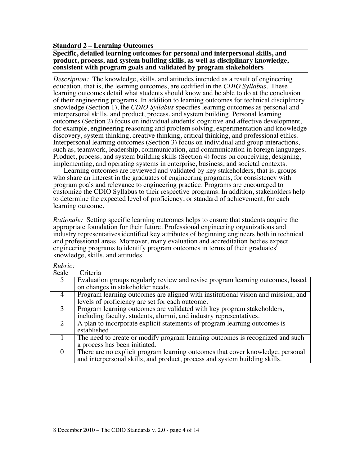#### **Standard 2 – Learning Outcomes**

### **Specific, detailed learning outcomes for personal and interpersonal skills, and product, process, and system building skills, as well as disciplinary knowledge, consistent with program goals and validated by program stakeholders**

*Description:* The knowledge, skills, and attitudes intended as a result of engineering education, that is*,* the learning outcomes, are codified in the *CDIO Syllabus*. These learning outcomes detail what students should know and be able to do at the conclusion of their engineering programs. In addition to learning outcomes for technical disciplinary knowledge (Section 1), the *CDIO Syllabus* specifies learning outcomes as personal and interpersonal skills, and product, process, and system building. Personal learning outcomes (Section 2) focus on individual students' cognitive and affective development, for example, engineering reasoning and problem solving, experimentation and knowledge discovery, system thinking, creative thinking, critical thinking, and professional ethics. Interpersonal learning outcomes (Section 3) focus on individual and group interactions, such as, teamwork, leadership, communication, and communication in foreign languages. Product, process, and system building skills (Section 4) focus on conceiving, designing, implementing, and operating systems in enterprise, business, and societal contexts.

Learning outcomes are reviewed and validated by key stakeholders, that is, groups who share an interest in the graduates of engineering programs, for consistency with program goals and relevance to engineering practice. Programs are encouraged to customize the CDIO Syllabus to their respective programs. In addition, stakeholders help to determine the expected level of proficiency, or standard of achievement, for each learning outcome.

*Rationale:* Setting specific learning outcomes helps to ensure that students acquire the appropriate foundation for their future. Professional engineering organizations and industry representatives identified key attributes of beginning engineers both in technical and professional areas. Moreover, many evaluation and accreditation bodies expect engineering programs to identify program outcomes in terms of their graduates' knowledge, skills, and attitudes.

| Scale | Criteria                                                                         |
|-------|----------------------------------------------------------------------------------|
|       | Evaluation groups regularly review and revise program learning outcomes, based   |
|       | on changes in stakeholder needs.                                                 |
|       | Program learning outcomes are aligned with institutional vision and mission, and |
|       | levels of proficiency are set for each outcome.                                  |
|       | Program learning outcomes are validated with key program stakeholders,           |
|       | including faculty, students, alumni, and industry representatives.               |
|       | A plan to incorporate explicit statements of program learning outcomes is        |
|       | established.                                                                     |
|       | The need to create or modify program learning outcomes is recognized and such    |
|       | a process has been initiated.                                                    |
|       | There are no explicit program learning outcomes that cover knowledge, personal   |
|       | and interpersonal skills, and product, process and system building skills.       |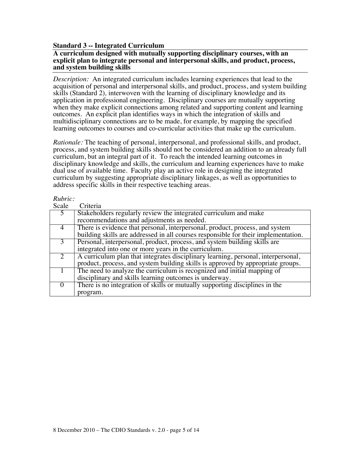## **Standard 3 -- Integrated Curriculum**

## **A curriculum designed with mutually supporting disciplinary courses, with an explicit plan to integrate personal and interpersonal skills, and product, process, and system building skills**

*Description:* An integrated curriculum includes learning experiences that lead to the acquisition of personal and interpersonal skills, and product, process, and system building skills (Standard 2)*,* interwoven with the learning of disciplinary knowledge and its application in professional engineering. Disciplinary courses are mutually supporting when they make explicit connections among related and supporting content and learning outcomes. An explicit plan identifies ways in which the integration of skills and multidisciplinary connections are to be made, for example, by mapping the specified learning outcomes to courses and co-curricular activities that make up the curriculum.

*Rationale:* The teaching of personal, interpersonal, and professional skills, and product, process, and system building skills should not be considered an addition to an already full curriculum, but an integral part of it. To reach the intended learning outcomes in disciplinary knowledge and skills, the curriculum and learning experiences have to make dual use of available time. Faculty play an active role in designing the integrated curriculum by suggesting appropriate disciplinary linkages, as well as opportunities to address specific skills in their respective teaching areas.

| Scale | Criteria                                                                           |
|-------|------------------------------------------------------------------------------------|
|       | Stakeholders regularly review the integrated curriculum and make                   |
|       | recommendations and adjustments as needed.                                         |
|       | There is evidence that personal, interpersonal, product, process, and system       |
|       | building skills are addressed in all courses responsible for their implementation. |
|       | Personal, interpersonal, product, process, and system building skills are          |
|       | integrated into one or more years in the curriculum.                               |
|       | A curriculum plan that integrates disciplinary learning, personal, interpersonal,  |
|       | product, process, and system building skills is approved by appropriate groups.    |
|       | The need to analyze the curriculum is recognized and initial mapping of            |
|       | disciplinary and skills learning outcomes is underway.                             |
|       | There is no integration of skills or mutually supporting disciplines in the        |
|       | program.                                                                           |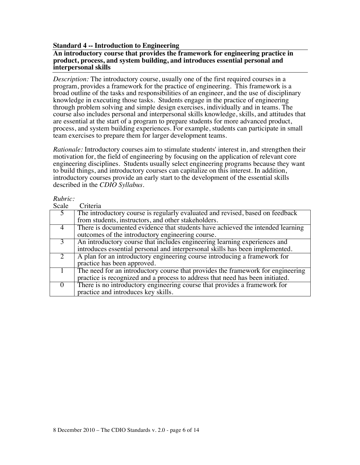## **Standard 4 -- Introduction to Engineering**

## **An introductory course that provides the framework for engineering practice in product, process, and system building, and introduces essential personal and interpersonal skills**

*Description:* The introductory course, usually one of the first required courses in a program, provides a framework for the practice of engineering. This framework is a broad outline of the tasks and responsibilities of an engineer, and the use of disciplinary knowledge in executing those tasks. Students engage in the practice of engineering through problem solving and simple design exercises, individually and in teams. The course also includes personal and interpersonal skills knowledge, skills, and attitudes that are essential at the start of a program to prepare students for more advanced product, process, and system building experiences. For example, students can participate in small team exercises to prepare them for larger development teams.

*Rationale:* Introductory courses aim to stimulate students' interest in, and strengthen their motivation for, the field of engineering by focusing on the application of relevant core engineering disciplines. Students usually select engineering programs because they want to build things, and introductory courses can capitalize on this interest. In addition, introductory courses provide an early start to the development of the essential skills described in the *CDIO Syllabus*.

| Scale | Criteria                                                                        |
|-------|---------------------------------------------------------------------------------|
|       | The introductory course is regularly evaluated and revised, based on feedback   |
|       | from students, instructors, and other stakeholders.                             |
|       | There is documented evidence that students have achieved the intended learning  |
|       | outcomes of the introductory engineering course.                                |
|       | An introductory course that includes engineering learning experiences and       |
|       | introduces essential personal and interpersonal skills has been implemented.    |
|       | A plan for an introductory engineering course introducing a framework for       |
|       | practice has been approved.                                                     |
|       | The need for an introductory course that provides the framework for engineering |
|       | practice is recognized and a process to address that need has been initiated.   |
| 0     | There is no introductory engineering course that provides a framework for       |
|       | practice and introduces key skills.                                             |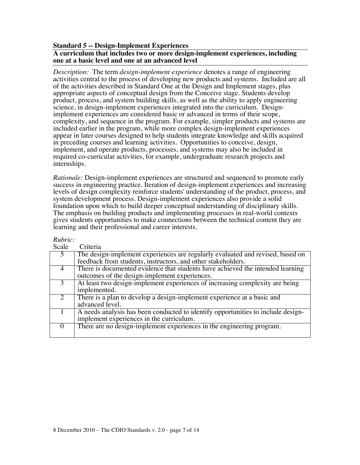## **Standard 5 -- Design-Implement Experiences**

## **A curriculum that includes two or more design-implement experiences, including one at a basic level and one at an advanced level**

*Description:* The term *design-implement experience* denotes a range of engineering activities central to the process of developing new products and systems. Included are all of the activities described in Standard One at the Design and Implement stages, plus appropriate aspects of conceptual design from the Conceive stage. Students develop product, process, and system building skills, as well as the ability to apply engineering science, in design-implement experiences integrated into the curriculum. Designimplement experiences are considered basic or advanced in terms of their scope, complexity, and sequence in the program. For example, simpler products and systems are included earlier in the program, while more complex design-implement experiences appear in later courses designed to help students integrate knowledge and skills acquired in preceding courses and learning activities. Opportunities to conceive, design, implement, and operate products, processes, and systems may also be included in required co-curricular activities, for example, undergraduate research projects and internships.

*Rationale:* Design-implement experiences are structured and sequenced to promote early success in engineering practice. Iteration of design-implement experiences and increasing levels of design complexity reinforce students' understanding of the product, process, and system development process. Design-implement experiences also provide a solid foundation upon which to build deeper conceptual understanding of disciplinary skills. The emphasis on building products and implementing processes in real-world contexts gives students opportunities to make connections between the technical content they are learning and their professional and career interests.

| Scale | Criteria                                                                         |
|-------|----------------------------------------------------------------------------------|
|       | The design-implement experiences are regularly evaluated and revised, based on   |
|       | feedback from students, instructors, and other stakeholders.                     |
|       | There is documented evidence that students have achieved the intended learning   |
|       | outcomes of the design-implement experiences.                                    |
|       | At least two design-implement experiences of increasing complexity are being     |
|       | implemented.                                                                     |
|       | There is a plan to develop a design-implement experience at a basic and          |
|       | advanced level.                                                                  |
|       | A needs analysis has been conducted to identify opportunities to include design- |
|       | implement experiences in the curriculum.                                         |
|       | There are no design-implement experiences in the engineering program.            |
|       |                                                                                  |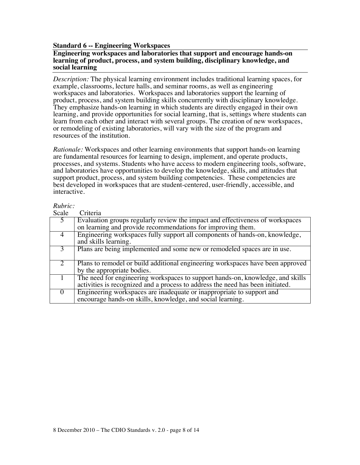## **Standard 6 -- Engineering Workspaces**

## **Engineering workspaces and laboratories that support and encourage hands-on learning of product, process, and system building, disciplinary knowledge, and social learning**

*Description:* The physical learning environment includes traditional learning spaces, for example, classrooms, lecture halls, and seminar rooms, as well as engineering workspaces and laboratories. Workspaces and laboratories support the learning of product, process, and system building skills concurrently with disciplinary knowledge. They emphasize hands-on learning in which students are directly engaged in their own learning, and provide opportunities for social learning, that is, settings where students can learn from each other and interact with several groups. The creation of new workspaces, or remodeling of existing laboratories, will vary with the size of the program and resources of the institution.

*Rationale:* Workspaces and other learning environments that support hands-on learning are fundamental resources for learning to design, implement, and operate products, processes, and systems. Students who have access to modern engineering tools, software, and laboratories have opportunities to develop the knowledge, skills, and attitudes that support product, process, and system building competencies. These competencies are best developed in workspaces that are student-centered, user-friendly, accessible, and interactive.

| Scale         | Criteria                                                                       |
|---------------|--------------------------------------------------------------------------------|
|               | Evaluation groups regularly review the impact and effectiveness of workspaces  |
|               | on learning and provide recommendations for improving them.                    |
|               | Engineering workspaces fully support all components of hands-on, knowledge,    |
|               | and skills learning.                                                           |
| $\mathcal{E}$ | Plans are being implemented and some new or remodeled spaces are in use.       |
|               |                                                                                |
|               | Plans to remodel or build additional engineering workspaces have been approved |
|               | by the appropriate bodies.                                                     |
|               | The need for engineering workspaces to support hands-on, knowledge, and skills |
|               | activities is recognized and a process to address the need has been initiated. |
|               | Engineering workspaces are inadequate or inappropriate to support and          |
|               | encourage hands-on skills, knowledge, and social learning.                     |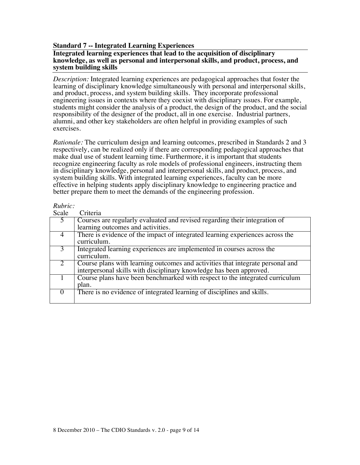## **Standard 7 -- Integrated Learning Experiences**

## **Integrated learning experiences that lead to the acquisition of disciplinary knowledge, as well as personal and interpersonal skills, and product, process, and system building skills**

*Description:* Integrated learning experiences are pedagogical approaches that foster the learning of disciplinary knowledge simultaneously with personal and interpersonal skills, and product, process, and system building skills. They incorporate professional engineering issues in contexts where they coexist with disciplinary issues. For example, students might consider the analysis of a product, the design of the product, and the social responsibility of the designer of the product, all in one exercise. Industrial partners, alumni, and other key stakeholders are often helpful in providing examples of such exercises.

*Rationale:* The curriculum design and learning outcomes, prescribed in Standards 2 and 3 respectively, can be realized only if there are corresponding pedagogical approaches that make dual use of student learning time. Furthermore, it is important that students recognize engineering faculty as role models of professional engineers, instructing them in disciplinary knowledge, personal and interpersonal skills, and product, process, and system building skills. With integrated learning experiences, faculty can be more effective in helping students apply disciplinary knowledge to engineering practice and better prepare them to meet the demands of the engineering profession.

| Scale | Criteria                                                                       |
|-------|--------------------------------------------------------------------------------|
|       | Courses are regularly evaluated and revised regarding their integration of     |
|       | learning outcomes and activities.                                              |
|       | There is evidence of the impact of integrated learning experiences across the  |
|       | curriculum.                                                                    |
|       | Integrated learning experiences are implemented in courses across the          |
|       | curriculum.                                                                    |
|       | Course plans with learning outcomes and activities that integrate personal and |
|       | interpersonal skills with disciplinary knowledge has been approved.            |
|       | Course plans have been benchmarked with respect to the integrated curriculum   |
|       | plan.                                                                          |
|       | There is no evidence of integrated learning of disciplines and skills.         |
|       |                                                                                |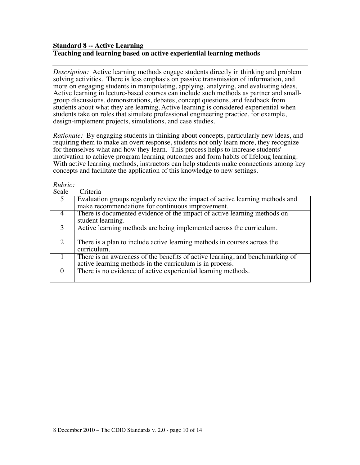#### **Standard 8 -- Active Learning Teaching and learning based on active experiential learning methods**

*Description:* Active learning methods engage students directly in thinking and problem solving activities. There is less emphasis on passive transmission of information, and more on engaging students in manipulating, applying, analyzing, and evaluating ideas. Active learning in lecture-based courses can include such methods as partner and smallgroup discussions, demonstrations, debates, concept questions, and feedback from students about what they are learning. Active learning is considered experiential when students take on roles that simulate professional engineering practice, for example, design-implement projects, simulations, and case studies.

*Rationale:* By engaging students in thinking about concepts, particularly new ideas, and requiring them to make an overt response, students not only learn more, they recognize for themselves what and how they learn. This process helps to increase students' motivation to achieve program learning outcomes and form habits of lifelong learning. With active learning methods, instructors can help students make connections among key concepts and facilitate the application of this knowledge to new settings.

# *Rubric:*

Criteria

| waic |                                                                               |
|------|-------------------------------------------------------------------------------|
| 5    | Evaluation groups regularly review the impact of active learning methods and  |
|      | make recommendations for continuous improvement.                              |
|      | There is documented evidence of the impact of active learning methods on      |
|      | student learning.                                                             |
|      | Active learning methods are being implemented across the curriculum.          |
|      |                                                                               |
| 2    | There is a plan to include active learning methods in courses across the      |
|      | curriculum.                                                                   |
|      | There is an awareness of the benefits of active learning, and benchmarking of |
|      | active learning methods in the curriculum is in process.                      |
|      | There is no evidence of active experiential learning methods.                 |
|      |                                                                               |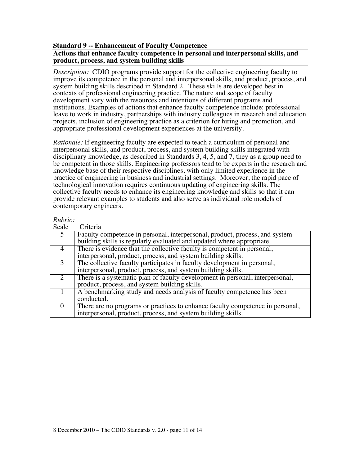## **Standard 9 -- Enhancement of Faculty Competence**

## **Actions that enhance faculty competence in personal and interpersonal skills, and product, process, and system building skills**

*Description:* CDIO programs provide support for the collective engineering faculty to improve its competence in the personal and interpersonal skills, and product, process, and system building skills described in Standard 2. These skills are developed best in contexts of professional engineering practice. The nature and scope of faculty development vary with the resources and intentions of different programs and institutions. Examples of actions that enhance faculty competence include: professional leave to work in industry, partnerships with industry colleagues in research and education projects, inclusion of engineering practice as a criterion for hiring and promotion, and appropriate professional development experiences at the university.

*Rationale:* If engineering faculty are expected to teach a curriculum of personal and interpersonal skills, and product, process, and system building skills integrated with disciplinary knowledge, as described in Standards 3, 4, 5, and 7, they as a group need to be competent in those skills. Engineering professors tend to be experts in the research and knowledge base of their respective disciplines, with only limited experience in the practice of engineering in business and industrial settings. Moreover, the rapid pace of technological innovation requires continuous updating of engineering skills. The collective faculty needs to enhance its engineering knowledge and skills so that it can provide relevant examples to students and also serve as individual role models of contemporary engineers.

| Scale | Criteria                                                                      |
|-------|-------------------------------------------------------------------------------|
|       | Faculty competence in personal, interpersonal, product, process, and system   |
|       | building skills is regularly evaluated and updated where appropriate.         |
|       | There is evidence that the collective faculty is competent in personal,       |
|       | interpersonal, product, process, and system building skills.                  |
|       | The collective faculty participates in faculty development in personal,       |
|       | interpersonal, product, process, and system building skills.                  |
|       | There is a systematic plan of faculty development in personal, interpersonal, |
|       | product, process, and system building skills.                                 |
|       | A benchmarking study and needs analysis of faculty competence has been        |
|       | conducted.                                                                    |
|       | There are no programs or practices to enhance faculty competence in personal, |
|       | interpersonal, product, process, and system building skills.                  |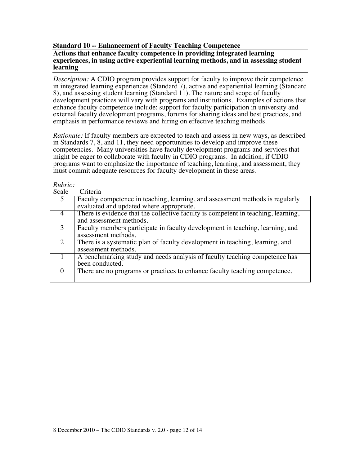## **Standard 10 -- Enhancement of Faculty Teaching Competence**

## **Actions that enhance faculty competence in providing integrated learning experiences, in using active experiential learning methods, and in assessing student learning**

*Description:* A CDIO program provides support for faculty to improve their competence in integrated learning experiences (Standard 7), active and experiential learning (Standard 8), and assessing student learning (Standard 11). The nature and scope of faculty development practices will vary with programs and institutions. Examples of actions that enhance faculty competence include: support for faculty participation in university and external faculty development programs, forums for sharing ideas and best practices, and emphasis in performance reviews and hiring on effective teaching methods.

*Rationale:* If faculty members are expected to teach and assess in new ways, as described in Standards 7, 8, and 11, they need opportunities to develop and improve these competencies. Many universities have faculty development programs and services that might be eager to collaborate with faculty in CDIO programs. In addition, if CDIO programs want to emphasize the importance of teaching, learning, and assessment, they must commit adequate resources for faculty development in these areas.

| Scale | Criteria                                                                          |
|-------|-----------------------------------------------------------------------------------|
|       | Faculty competence in teaching, learning, and assessment methods is regularly     |
|       | evaluated and updated where appropriate.                                          |
|       | There is evidence that the collective faculty is competent in teaching, learning, |
|       | and assessment methods.                                                           |
|       | Faculty members participate in faculty development in teaching, learning, and     |
|       | assessment methods.                                                               |
|       | There is a systematic plan of faculty development in teaching, learning, and      |
|       | assessment methods.                                                               |
|       | A benchmarking study and needs analysis of faculty teaching competence has        |
|       | been conducted.                                                                   |
|       | There are no programs or practices to enhance faculty teaching competence.        |
|       |                                                                                   |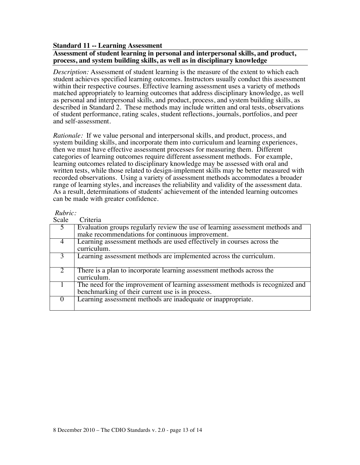## **Standard 11 -- Learning Assessment**

**Assessment of student learning in personal and interpersonal skills, and product, process, and system building skills, as well as in disciplinary knowledge**

*Description:* Assessment of student learning is the measure of the extent to which each student achieves specified learning outcomes. Instructors usually conduct this assessment within their respective courses. Effective learning assessment uses a variety of methods matched appropriately to learning outcomes that address disciplinary knowledge, as well as personal and interpersonal skills, and product, process, and system building skills, as described in Standard 2. These methods may include written and oral tests, observations of student performance, rating scales, student reflections, journals, portfolios, and peer and self-assessment.

*Rationale:* If we value personal and interpersonal skills, and product, process, and system building skills, and incorporate them into curriculum and learning experiences, then we must have effective assessment processes for measuring them. Different categories of learning outcomes require different assessment methods. For example, learning outcomes related to disciplinary knowledge may be assessed with oral and written tests, while those related to design-implement skills may be better measured with recorded observations. Using a variety of assessment methods accommodates a broader range of learning styles, and increases the reliability and validity of the assessment data. As a result, determinations of students' achievement of the intended learning outcomes can be made with greater confidence.

| Criteria |
|----------|
|          |

| Evaluation groups regularly review the use of learning assessment methods and |
|-------------------------------------------------------------------------------|
| make recommendations for continuous improvement.                              |
| Learning assessment methods are used effectively in courses across the        |
| curriculum.                                                                   |
| Learning assessment methods are implemented across the curriculum.            |
|                                                                               |
| There is a plan to incorporate learning assessment methods across the         |
| curriculum.                                                                   |
| The need for the improvement of learning assessment methods is recognized and |
| benchmarking of their current use is in process.                              |
| Learning assessment methods are inadequate or inappropriate.                  |
|                                                                               |